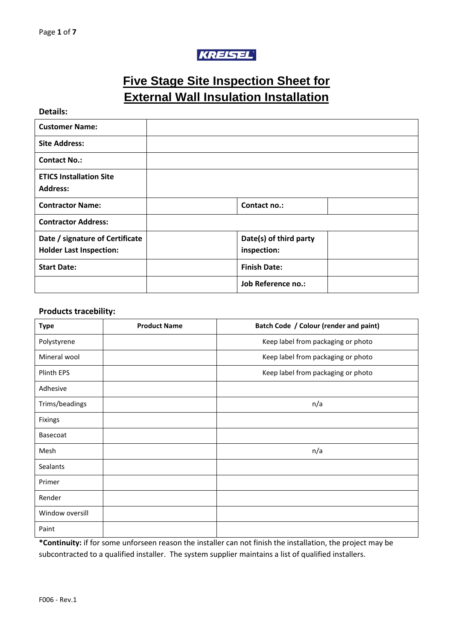# KREISEL

# **Five Stage Site Inspection Sheet for External Wall Insulation Installation**

**Details:**

| <b>Customer Name:</b>                                             |                                       |  |
|-------------------------------------------------------------------|---------------------------------------|--|
| <b>Site Address:</b>                                              |                                       |  |
| <b>Contact No.:</b>                                               |                                       |  |
| <b>ETICS Installation Site</b><br><b>Address:</b>                 |                                       |  |
| <b>Contractor Name:</b>                                           | Contact no.:                          |  |
| <b>Contractor Address:</b>                                        |                                       |  |
| Date / signature of Certificate<br><b>Holder Last Inspection:</b> | Date(s) of third party<br>inspection: |  |
| <b>Start Date:</b>                                                | <b>Finish Date:</b>                   |  |
|                                                                   | Job Reference no.:                    |  |

#### **Products tracebility:**

| <b>Type</b>     | <b>Product Name</b> | Batch Code / Colour (render and paint) |
|-----------------|---------------------|----------------------------------------|
| Polystyrene     |                     | Keep label from packaging or photo     |
| Mineral wool    |                     | Keep label from packaging or photo     |
| Plinth EPS      |                     | Keep label from packaging or photo     |
| Adhesive        |                     |                                        |
| Trims/beadings  |                     | n/a                                    |
| Fixings         |                     |                                        |
| Basecoat        |                     |                                        |
| Mesh            |                     | n/a                                    |
| Sealants        |                     |                                        |
| Primer          |                     |                                        |
| Render          |                     |                                        |
| Window oversill |                     |                                        |
| Paint           |                     |                                        |

**\*Continuity:** if for some unforseen reason the installer can not finish the installation, the project may be subcontracted to a qualified installer. The system supplier maintains a list of qualified installers.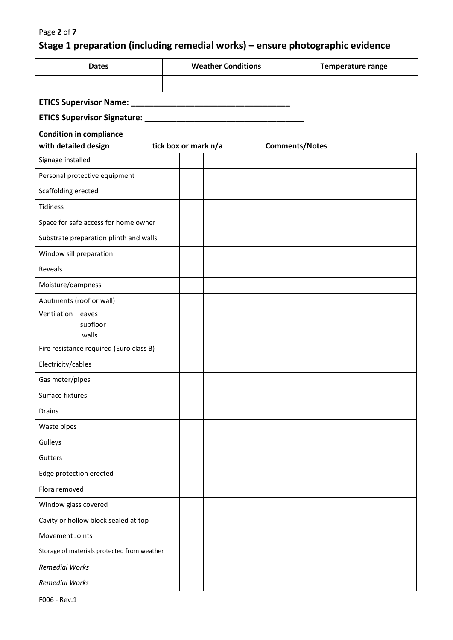### Page **2** of **7**

# **Stage 1 preparation (including remedial works) – ensure photographic evidence**

| <b>Dates</b> | <b>Weather Conditions</b> | Temperature range |
|--------------|---------------------------|-------------------|
|              |                           |                   |

## **ETICS Supervisor Name: \_\_\_\_\_\_\_\_\_\_\_\_\_\_\_\_\_\_\_\_\_\_\_\_\_\_\_\_\_\_\_\_\_\_\_**

## **ETICS Supervisor Signature: \_\_\_\_\_\_\_\_\_\_\_\_\_\_\_\_\_\_\_\_\_\_\_\_\_\_\_\_\_\_\_\_\_\_\_**

### **Condition in compliance**

| with detailed design                        | tick box or mark n/a | <b>Comments/Notes</b> |  |
|---------------------------------------------|----------------------|-----------------------|--|
| Signage installed                           |                      |                       |  |
| Personal protective equipment               |                      |                       |  |
| Scaffolding erected                         |                      |                       |  |
| Tidiness                                    |                      |                       |  |
| Space for safe access for home owner        |                      |                       |  |
| Substrate preparation plinth and walls      |                      |                       |  |
| Window sill preparation                     |                      |                       |  |
| Reveals                                     |                      |                       |  |
| Moisture/dampness                           |                      |                       |  |
| Abutments (roof or wall)                    |                      |                       |  |
| Ventilation - eaves<br>subfloor             |                      |                       |  |
| walls                                       |                      |                       |  |
| Fire resistance required (Euro class B)     |                      |                       |  |
| Electricity/cables                          |                      |                       |  |
| Gas meter/pipes                             |                      |                       |  |
| Surface fixtures                            |                      |                       |  |
| <b>Drains</b>                               |                      |                       |  |
| Waste pipes                                 |                      |                       |  |
| Gulleys                                     |                      |                       |  |
| Gutters                                     |                      |                       |  |
| Edge protection erected                     |                      |                       |  |
| Flora removed                               |                      |                       |  |
| Window glass covered                        |                      |                       |  |
| Cavity or hollow block sealed at top        |                      |                       |  |
| Movement Joints                             |                      |                       |  |
| Storage of materials protected from weather |                      |                       |  |
| <b>Remedial Works</b>                       |                      |                       |  |
| <b>Remedial Works</b>                       |                      |                       |  |

F006 - Rev.1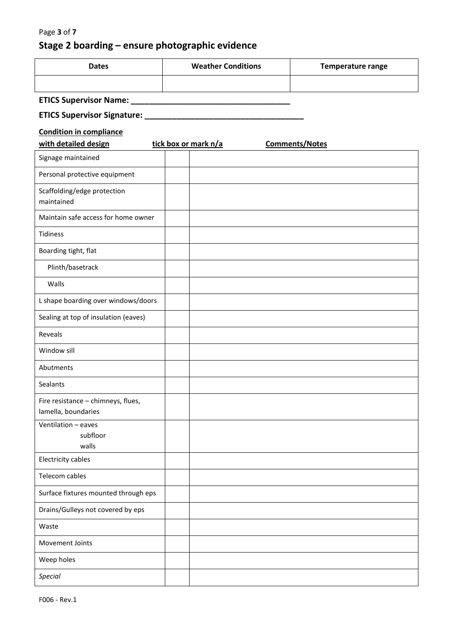# **Stage 2 boarding – ensure photographic evidence**

| <b>Dates</b> | <b>Weather Conditions</b> | Temperature range |
|--------------|---------------------------|-------------------|
|              |                           |                   |

### **ETICS Supervisor Name: \_\_\_\_\_\_\_\_\_\_\_\_\_\_\_\_\_\_\_\_\_\_\_\_\_\_\_\_\_\_\_\_\_\_\_**

# **ETICS Supervisor Signature: \_\_\_\_\_\_\_\_\_\_\_\_\_\_\_\_\_\_\_\_\_\_\_\_\_\_\_\_\_\_\_\_\_\_\_**

| with detailed design                                      | tick box or mark n/a | <b>Comments/Notes</b> |  |
|-----------------------------------------------------------|----------------------|-----------------------|--|
| Signage maintained                                        |                      |                       |  |
| Personal protective equipment                             |                      |                       |  |
| Scaffolding/edge protection<br>maintained                 |                      |                       |  |
| Maintain safe access for home owner                       |                      |                       |  |
| <b>Tidiness</b>                                           |                      |                       |  |
| Boarding tight, flat                                      |                      |                       |  |
| Plinth/basetrack                                          |                      |                       |  |
| Walls                                                     |                      |                       |  |
| L shape boarding over windows/doors                       |                      |                       |  |
| Sealing at top of insulation (eaves)                      |                      |                       |  |
| Reveals                                                   |                      |                       |  |
| Window sill                                               |                      |                       |  |
| Abutments                                                 |                      |                       |  |
| Sealants                                                  |                      |                       |  |
| Fire resistance - chimneys, flues,<br>lamella, boundaries |                      |                       |  |
| Ventilation - eaves<br>subfloor<br>walls                  |                      |                       |  |
| <b>Electricity cables</b>                                 |                      |                       |  |
| Telecom cables                                            |                      |                       |  |
| Surface fixtures mounted through eps                      |                      |                       |  |
| Drains/Gulleys not covered by eps                         |                      |                       |  |
| Waste                                                     |                      |                       |  |
| Movement Joints                                           |                      |                       |  |
| Weep holes                                                |                      |                       |  |
| <b>Special</b>                                            |                      |                       |  |
|                                                           |                      |                       |  |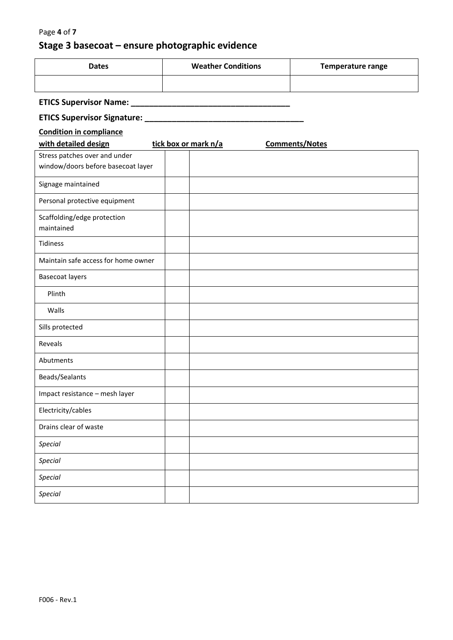## Page **4** of **7**

# **Stage 3 basecoat – ensure photographic evidence**

| <b>Dates</b> | <b>Weather Conditions</b> | Temperature range |
|--------------|---------------------------|-------------------|
|              |                           |                   |

## **ETICS Supervisor Name: \_\_\_\_\_\_\_\_\_\_\_\_\_\_\_\_\_\_\_\_\_\_\_\_\_\_\_\_\_\_\_\_\_\_\_**

## **ETICS Supervisor Signature: \_\_\_\_\_\_\_\_\_\_\_\_\_\_\_\_\_\_\_\_\_\_\_\_\_\_\_\_\_\_\_\_\_\_\_**

| with detailed design                      | tick box or mark n/a | <b>Comments/Notes</b> |
|-------------------------------------------|----------------------|-----------------------|
| Stress patches over and under             |                      |                       |
| window/doors before basecoat layer        |                      |                       |
| Signage maintained                        |                      |                       |
| Personal protective equipment             |                      |                       |
| Scaffolding/edge protection<br>maintained |                      |                       |
| Tidiness                                  |                      |                       |
| Maintain safe access for home owner       |                      |                       |
| Basecoat layers                           |                      |                       |
| Plinth                                    |                      |                       |
| Walls                                     |                      |                       |
| Sills protected                           |                      |                       |
| Reveals                                   |                      |                       |
| Abutments                                 |                      |                       |
| Beads/Sealants                            |                      |                       |
| Impact resistance - mesh layer            |                      |                       |
| Electricity/cables                        |                      |                       |
| Drains clear of waste                     |                      |                       |
| <b>Special</b>                            |                      |                       |
| Special                                   |                      |                       |
| <b>Special</b>                            |                      |                       |
| <b>Special</b>                            |                      |                       |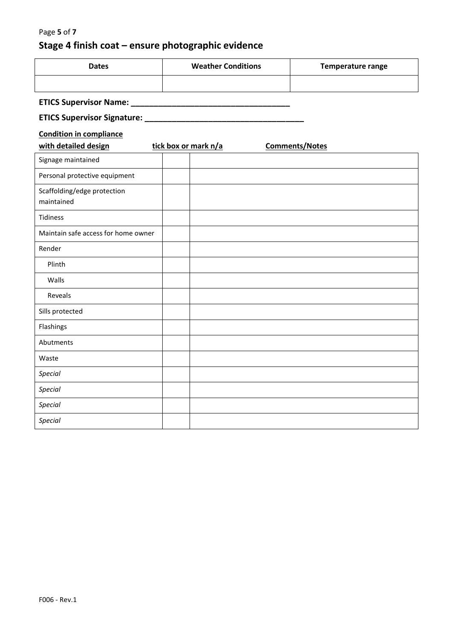# **Stage 4 finish coat – ensure photographic evidence**

| <b>Dates</b> | <b>Weather Conditions</b> | Temperature range |
|--------------|---------------------------|-------------------|
|              |                           |                   |

## **ETICS Supervisor Name: \_\_\_\_\_\_\_\_\_\_\_\_\_\_\_\_\_\_\_\_\_\_\_\_\_\_\_\_\_\_\_\_\_\_\_**

## **ETICS Supervisor Signature: \_\_\_\_\_\_\_\_\_\_\_\_\_\_\_\_\_\_\_\_\_\_\_\_\_\_\_\_\_\_\_\_\_\_\_**

| with detailed design                      | tick box or mark n/a | <b>Comments/Notes</b> |  |
|-------------------------------------------|----------------------|-----------------------|--|
| Signage maintained                        |                      |                       |  |
| Personal protective equipment             |                      |                       |  |
| Scaffolding/edge protection<br>maintained |                      |                       |  |
| Tidiness                                  |                      |                       |  |
| Maintain safe access for home owner       |                      |                       |  |
| Render                                    |                      |                       |  |
| Plinth                                    |                      |                       |  |
| Walls                                     |                      |                       |  |
| Reveals                                   |                      |                       |  |
| Sills protected                           |                      |                       |  |
| Flashings                                 |                      |                       |  |
| Abutments                                 |                      |                       |  |
| Waste                                     |                      |                       |  |
| Special                                   |                      |                       |  |
| Special                                   |                      |                       |  |
| Special                                   |                      |                       |  |
| <b>Special</b>                            |                      |                       |  |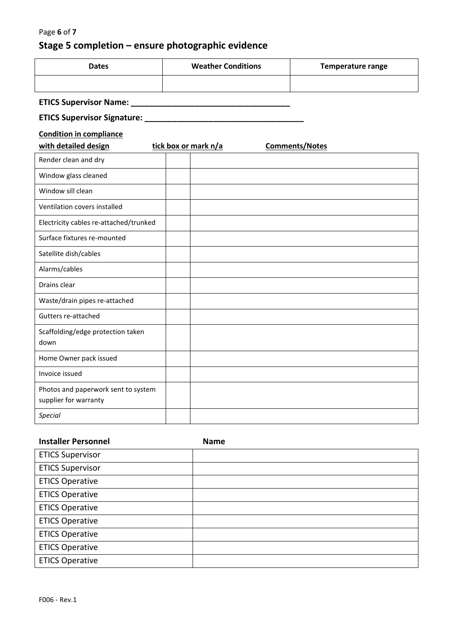# **Stage 5 completion – ensure photographic evidence**

| <b>Dates</b> | <b>Weather Conditions</b> | Temperature range |
|--------------|---------------------------|-------------------|
|              |                           |                   |

## **ETICS Supervisor Name: \_\_\_\_\_\_\_\_\_\_\_\_\_\_\_\_\_\_\_\_\_\_\_\_\_\_\_\_\_\_\_\_\_\_\_**

## **ETICS Supervisor Signature: \_\_\_\_\_\_\_\_\_\_\_\_\_\_\_\_\_\_\_\_\_\_\_\_\_\_\_\_\_\_\_\_\_\_\_**

| with detailed design                                         | tick box or mark n/a | <b>Comments/Notes</b> |  |
|--------------------------------------------------------------|----------------------|-----------------------|--|
| Render clean and dry                                         |                      |                       |  |
| Window glass cleaned                                         |                      |                       |  |
| Window sill clean                                            |                      |                       |  |
| Ventilation covers installed                                 |                      |                       |  |
| Electricity cables re-attached/trunked                       |                      |                       |  |
| Surface fixtures re-mounted                                  |                      |                       |  |
| Satellite dish/cables                                        |                      |                       |  |
| Alarms/cables                                                |                      |                       |  |
| Drains clear                                                 |                      |                       |  |
| Waste/drain pipes re-attached                                |                      |                       |  |
| Gutters re-attached                                          |                      |                       |  |
| Scaffolding/edge protection taken<br>down                    |                      |                       |  |
| Home Owner pack issued                                       |                      |                       |  |
| Invoice issued                                               |                      |                       |  |
| Photos and paperwork sent to system<br>supplier for warranty |                      |                       |  |
| <b>Special</b>                                               |                      |                       |  |

| <b>Installer Personnel</b> | <b>Name</b> |
|----------------------------|-------------|
| <b>ETICS Supervisor</b>    |             |
| <b>ETICS Supervisor</b>    |             |
| <b>ETICS Operative</b>     |             |
| <b>ETICS Operative</b>     |             |
| <b>ETICS Operative</b>     |             |
| <b>ETICS Operative</b>     |             |
| <b>ETICS Operative</b>     |             |
| <b>ETICS Operative</b>     |             |
| <b>ETICS Operative</b>     |             |